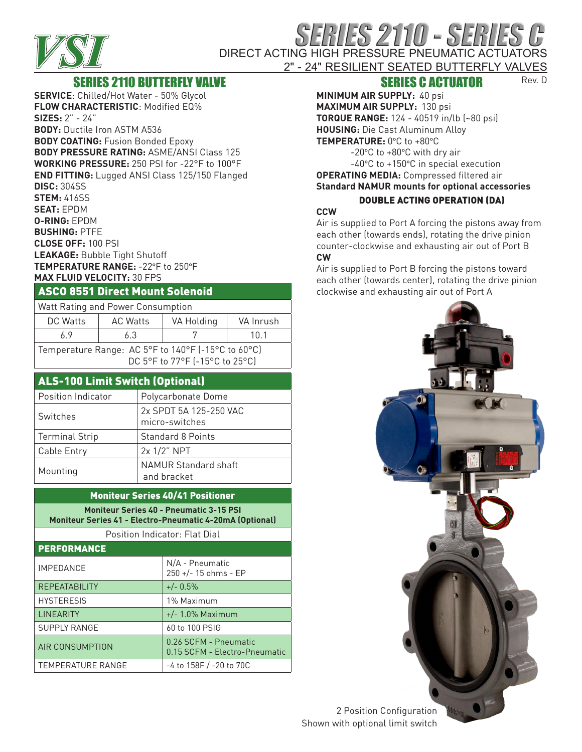

# RIES 2110 - SERIES DIRECT ACTING HIGH PRESSURE PNEUMATIC ACTUATORS

#### 2" - 24" RESILIENT SEATED BUTTERFLY VALVES Rev. D

## SERIES 2110 BUTTERFLY VALVE

**SERVICE**: Chilled/Hot Water - 50% Glycol **FLOW CHARACTERISTIC**: Modified EQ% **SIZES:** 2" - 24" **BODY:** Ductile Iron ASTM A536 **BODY COATING:** Fusion Bonded Epoxy **BODY PRESSURE RATING:** ASME/ANSI Class 125 **WORKING PRESSURE:** 250 PSI for -22°F to 100°F **END FITTING:** Lugged ANSI Class 125/150 Flanged **DISC:** 304SS **STEM:** 416SS **SEAT:** EPDM **O-RING:** EPDM **BUSHING:** PTFE **CLOSE OFF:** 100 PSI **LEAKAGE:** Bubble Tight Shutoff **TEMPERATURE RANGE:** -22°F to 250°F **MAX FLUID VELOCITY:** 30 FPS

#### ASCO 8551 Direct Mount Solenoid

| Watt Rating and Power Consumption                                                    |                 |            |           |  |  |  |  |  |
|--------------------------------------------------------------------------------------|-----------------|------------|-----------|--|--|--|--|--|
| DC Watts                                                                             | <b>AC Watts</b> | VA Holding | VA Inrush |  |  |  |  |  |
| 69                                                                                   | 6.3             |            | 10 1      |  |  |  |  |  |
| Temperature Range: AC 5°F to 140°F (-15°C to 60°C)<br>DC 5°F to 77°F (-15°C to 25°C) |                 |            |           |  |  |  |  |  |

## ALS-100 Limit Switch (Optional)

| Position Indicator    | Polycarbonate Dome                  |  |
|-----------------------|-------------------------------------|--|
| Switches              | 2x SPDT 5A 125-250 VAC              |  |
|                       | micro-switches                      |  |
| <b>Terminal Strip</b> | <b>Standard 8 Points</b>            |  |
| Cable Entry           | 2x 1/2" NPT                         |  |
| Mounting              | NAMUR Standard shaft<br>and bracket |  |
|                       |                                     |  |

#### Moniteur Series 40/41 Positioner

**Moniteur Series 40 - Pneumatic 3-15 PSI Moniteur Series 41 - Electro-Pneumatic 4-20mA (Optional)**

Position Indicator: Flat Dial

| <b>PERFORMANCE</b>       |                                                        |  |  |  |  |
|--------------------------|--------------------------------------------------------|--|--|--|--|
| <b>IMPEDANCE</b>         | N/A - Pneumatic<br>250 +/- 15 ohms - EP                |  |  |  |  |
| <b>REPEATABILITY</b>     | $+/- 0.5\%$                                            |  |  |  |  |
| <b>HYSTERESIS</b>        | 1% Maximum                                             |  |  |  |  |
| <b>LINEARITY</b>         | $+/- 1.0\%$ Maximum                                    |  |  |  |  |
| <b>SUPPLY RANGE</b>      | 60 to 100 PSIG                                         |  |  |  |  |
| AIR CONSUMPTION          | 0.26 SCFM - Pneumatic<br>0.15 SCFM - Electro-Pneumatic |  |  |  |  |
| <b>TEMPERATURE RANGE</b> | $-4$ to 158F $/$ -20 to 70C                            |  |  |  |  |

## SERIES C ACTUATOR

**MINIMUM AIR SUPPLY:** 40 psi **MAXIMUM AIR SUPPLY:** 130 psi **TORQUE RANGE:** 124 - 40519 in/lb (~80 psi) **HOUSING:** Die Cast Aluminum Alloy **TEMPERATURE:** 0°C to +80°C

-20°C to +80°C with dry air -40°C to +150°C in special execution **OPERATING MEDIA:** Compressed filtered air

#### **Standard NAMUR mounts for optional accessories** DOUBLE ACTING OPERATION (DA)

#### **CCW**

Air is supplied to Port A forcing the pistons away from each other (towards ends), rotating the drive pinion counter-clockwise and exhausting air out of Port B **CW** 

Air is supplied to Port B forcing the pistons toward each other (towards center), rotating the drive pinion clockwise and exhausting air out of Port A



#### 2 Position Configuration Shown with optional limit switch